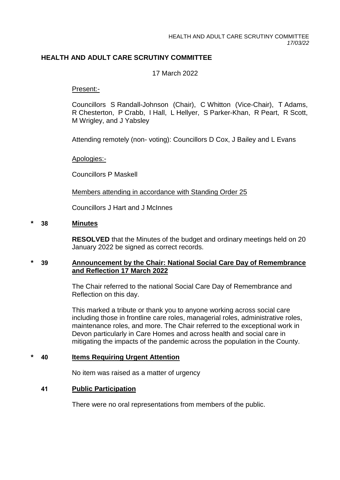# **HEALTH AND ADULT CARE SCRUTINY COMMITTEE**

### 17 March 2022

#### Present:-

Councillors S Randall-Johnson (Chair), C Whitton (Vice-Chair), T Adams, R Chesterton, P Crabb, I Hall, L Hellyer, S Parker-Khan, R Peart, R Scott, M Wrigley, and J Yabsley

Attending remotely (non- voting): Councillors D Cox, J Bailey and L Evans

#### Apologies:-

Councillors P Maskell

Members attending in accordance with Standing Order 25

Councillors J Hart and J McInnes

#### **\* 38 Minutes**

**RESOLVED** that the Minutes of the budget and ordinary meetings held on 20 January 2022 be signed as correct records.

# **\* 39 Announcement by the Chair: National Social Care Day of Remembrance and Reflection 17 March 2022**

The Chair referred to the national Social Care Day of Remembrance and Reflection on this day.

This marked a tribute or thank you to anyone working across social care including those in frontline care roles, managerial roles, administrative roles, maintenance roles, and more. The Chair referred to the exceptional work in Devon particularly in Care Homes and across health and social care in mitigating the impacts of the pandemic across the population in the County.

#### **\* 40 Items Requiring Urgent Attention**

No item was raised as a matter of urgency

# **41 Public Participation**

There were no oral representations from members of the public.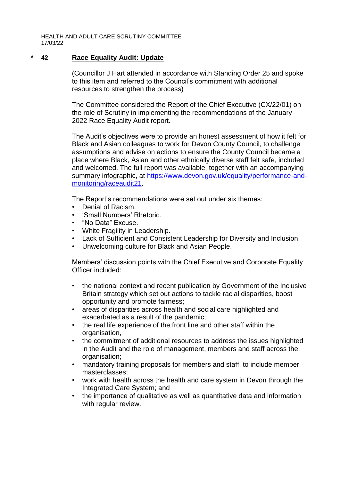HEALTH AND ADULT CARE SCRUTINY COMMITTEE 17/03/22

### **\* 42 Race Equality Audit: Update**

(Councillor J Hart attended in accordance with Standing Order 25 and spoke to this item and referred to the Council's commitment with additional resources to strengthen the process)

The Committee considered the Report of the Chief Executive (CX/22/01) on the role of Scrutiny in implementing the recommendations of the January 2022 Race Equality Audit report.

The Audit's objectives were to provide an honest assessment of how it felt for Black and Asian colleagues to work for Devon County Council, to challenge assumptions and advise on actions to ensure the County Council became a place where Black, Asian and other ethnically diverse staff felt safe, included and welcomed. The full report was available, together with an accompanying summary infographic, at [https://www.devon.gov.uk/equality/performance-and](https://www.devon.gov.uk/equality/performance-and-monitoring/raceaudit21)[monitoring/raceaudit21.](https://www.devon.gov.uk/equality/performance-and-monitoring/raceaudit21)

The Report's recommendations were set out under six themes:

- Denial of Racism.
- 'Small Numbers' Rhetoric.
- "No Data" Excuse.
- White Fragility in Leadership.
- Lack of Sufficient and Consistent Leadership for Diversity and Inclusion.
- Unwelcoming culture for Black and Asian People.

Members' discussion points with the Chief Executive and Corporate Equality Officer included:

- the national context and recent publication by Government of the Inclusive Britain strategy which set out actions to tackle racial disparities, boost opportunity and promote fairness;
- areas of disparities across health and social care highlighted and exacerbated as a result of the pandemic;
- the real life experience of the front line and other staff within the organisation,
- the commitment of additional resources to address the issues highlighted in the Audit and the role of management, members and staff across the organisation:
- mandatory training proposals for members and staff, to include member masterclasses;
- work with health across the health and care system in Devon through the Integrated Care System; and
- the importance of qualitative as well as quantitative data and information with regular review.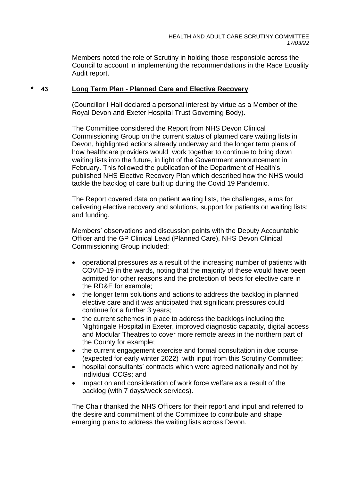Members noted the role of Scrutiny in holding those responsible across the Council to account in implementing the recommendations in the Race Equality Audit report.

### **\* 43 Long Term Plan - Planned Care and Elective Recovery**

(Councillor I Hall declared a personal interest by virtue as a Member of the Royal Devon and Exeter Hospital Trust Governing Body).

The Committee considered the Report from NHS Devon Clinical Commissioning Group on the current status of planned care waiting lists in Devon, highlighted actions already underway and the longer term plans of how healthcare providers would work together to continue to bring down waiting lists into the future, in light of the Government announcement in February. This followed the publication of the Department of Health's published NHS Elective Recovery Plan which described how the NHS would tackle the backlog of care built up during the Covid 19 Pandemic.

The Report covered data on patient waiting lists, the challenges, aims for delivering elective recovery and solutions, support for patients on waiting lists; and funding.

Members' observations and discussion points with the Deputy Accountable Officer and the GP Clinical Lead (Planned Care), NHS Devon Clinical Commissioning Group included:

- operational pressures as a result of the increasing number of patients with COVID-19 in the wards, noting that the majority of these would have been admitted for other reasons and the protection of beds for elective care in the RD&E for example;
- the longer term solutions and actions to address the backlog in planned elective care and it was anticipated that significant pressures could continue for a further 3 years;
- the current schemes in place to address the backlogs including the Nightingale Hospital in Exeter, improved diagnostic capacity, digital access and Modular Theatres to cover more remote areas in the northern part of the County for example;
- the current engagement exercise and formal consultation in due course (expected for early winter 2022) with input from this Scrutiny Committee;
- hospital consultants' contracts which were agreed nationally and not by individual CCGs; and
- impact on and consideration of work force welfare as a result of the backlog (with 7 days/week services).

The Chair thanked the NHS Officers for their report and input and referred to the desire and commitment of the Committee to contribute and shape emerging plans to address the waiting lists across Devon.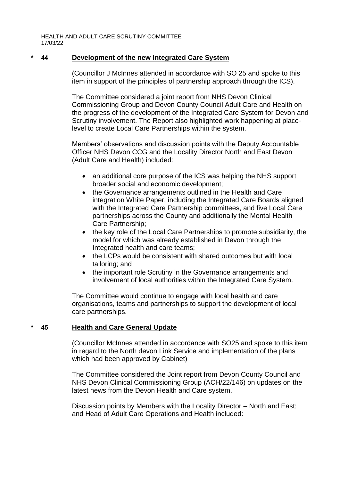HEALTH AND ADULT CARE SCRUTINY COMMITTEE 17/03/22

### **\* 44 Development of the new Integrated Care System**

(Councillor J McInnes attended in accordance with SO 25 and spoke to this item in support of the principles of partnership approach through the ICS).

The Committee considered a joint report from NHS Devon Clinical Commissioning Group and Devon County Council Adult Care and Health on the progress of the development of the Integrated Care System for Devon and Scrutiny involvement. The Report also highlighted work happening at placelevel to create Local Care Partnerships within the system.

Members' observations and discussion points with the Deputy Accountable Officer NHS Devon CCG and the Locality Director North and East Devon (Adult Care and Health) included:

- an additional core purpose of the ICS was helping the NHS support broader social and economic development;
- the Governance arrangements outlined in the Health and Care integration White Paper, including the Integrated Care Boards aligned with the Integrated Care Partnership committees, and five Local Care partnerships across the County and additionally the Mental Health Care Partnership;
- the key role of the Local Care Partnerships to promote subsidiarity, the model for which was already established in Devon through the Integrated health and care teams;
- the LCPs would be consistent with shared outcomes but with local tailoring; and
- the important role Scrutiny in the Governance arrangements and involvement of local authorities within the Integrated Care System.

The Committee would continue to engage with local health and care organisations, teams and partnerships to support the development of local care partnerships.

# **\* 45 Health and Care General Update**

(Councillor McInnes attended in accordance with SO25 and spoke to this item in regard to the North devon Link Service and implementation of the plans which had been approved by Cabinet)

The Committee considered the Joint report from Devon County Council and NHS Devon Clinical Commissioning Group (ACH/22/146) on updates on the latest news from the Devon Health and Care system.

Discussion points by Members with the Locality Director – North and East; and Head of Adult Care Operations and Health included: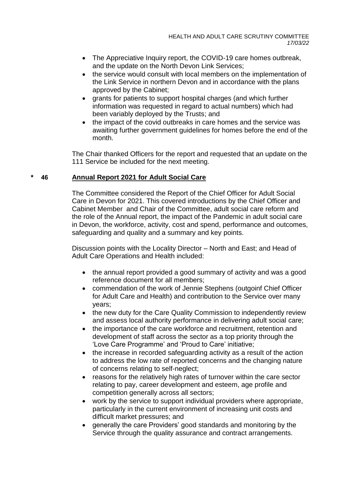- The Appreciative Inquiry report, the COVID-19 care homes outbreak, and the update on the North Devon Link Services;
- the service would consult with local members on the implementation of the Link Service in northern Devon and in accordance with the plans approved by the Cabinet;
- grants for patients to support hospital charges (and which further information was requested in regard to actual numbers) which had been variably deployed by the Trusts; and
- the impact of the covid outbreaks in care homes and the service was awaiting further government guidelines for homes before the end of the month.

The Chair thanked Officers for the report and requested that an update on the 111 Service be included for the next meeting.

# **\* 46 Annual Report 2021 for Adult Social Care**

The Committee considered the Report of the Chief Officer for Adult Social Care in Devon for 2021. This covered introductions by the Chief Officer and Cabinet Member and Chair of the Committee, adult social care reform and the role of the Annual report, the impact of the Pandemic in adult social care in Devon, the workforce, activity, cost and spend, performance and outcomes, safeguarding and quality and a summary and key points.

Discussion points with the Locality Director – North and East; and Head of Adult Care Operations and Health included:

- the annual report provided a good summary of activity and was a good reference document for all members;
- commendation of the work of Jennie Stephens (outgoinf Chief Officer for Adult Care and Health) and contribution to the Service over many years;
- the new duty for the Care Quality Commission to independently review and assess local authority performance in delivering adult social care;
- the importance of the care workforce and recruitment, retention and development of staff across the sector as a top priority through the 'Love Care Programme' and 'Proud to Care' initiative;
- the increase in recorded safeguarding activity as a result of the action to address the low rate of reported concerns and the changing nature of concerns relating to self-neglect;
- reasons for the relatively high rates of turnover within the care sector relating to pay, career development and esteem, age profile and competition generally across all sectors;
- work by the service to support individual providers where appropriate, particularly in the current environment of increasing unit costs and difficult market pressures; and
- generally the care Providers' good standards and monitoring by the Service through the quality assurance and contract arrangements.